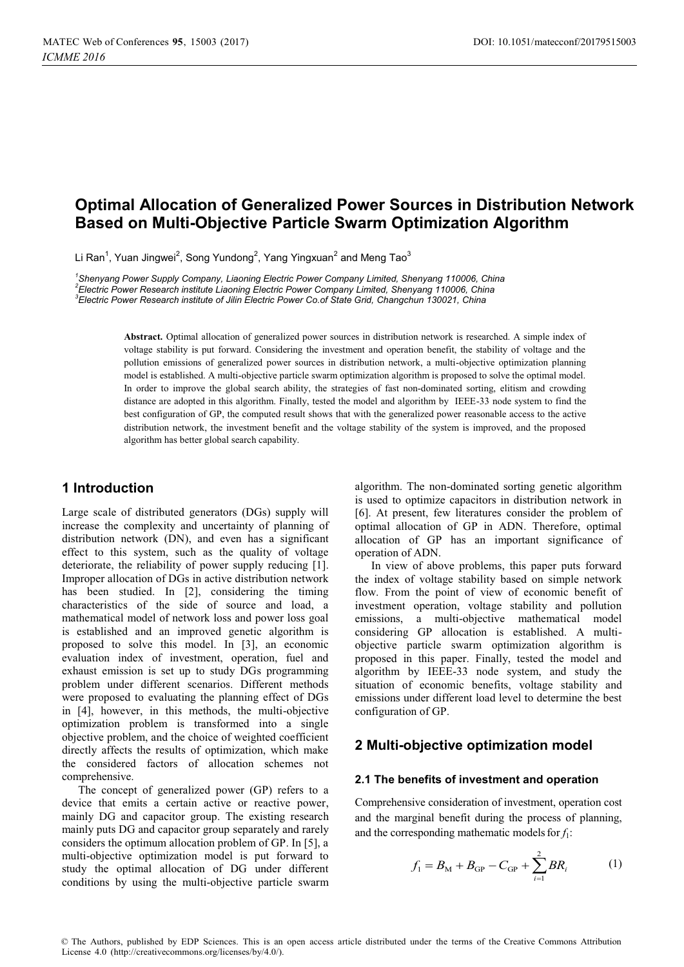# **Optimal Allocation of Generalized Power Sources in Distribution Network Based on Multi-Objective Particle Swarm Optimization Algorithm**

Li Ran<sup>1</sup>, Yuan Jingwei<sup>2</sup>, Song Yundong<sup>2</sup>, Yang Yingxuan<sup>2</sup> and Meng Tao<sup>3</sup>

*1 Shenyang Power Supply Company, Liaoning Electric Power Company Limited, Shenyang 110006, China 2 Electric Power Research institute Liaoning Electric Power Company Limited, Shenyang 110006, China 3 Electric Power Research institute of Jilin Electric Power Co.of State Grid, Changchun 130021, China* 

> **Abstract.** Optimal allocation of generalized power sources in distribution network is researched. A simple index of voltage stability is put forward. Considering the investment and operation benefit, the stability of voltage and the pollution emissions of generalized power sources in distribution network, a multi-objective optimization planning model is established. A multi-objective particle swarm optimization algorithm is proposed to solve the optimal model. In order to improve the global search ability, the strategies of fast non-dominated sorting, elitism and crowding distance are adopted in this algorithm. Finally, tested the model and algorithm by IEEE-33 node system to find the best configuration of GP, the computed result shows that with the generalized power reasonable access to the active distribution network, the investment benefit and the voltage stability of the system is improved, and the proposed algorithm has better global search capability.

## **1 Introduction**

Large scale of distributed generators (DGs) supply will increase the complexity and uncertainty of planning of distribution network (DN), and even has a significant effect to this system, such as the quality of voltage deteriorate, the reliability of power supply reducing [1]. Improper allocation of DGs in active distribution network has been studied. In [2], considering the timing characteristics of the side of source and load, a mathematical model of network loss and power loss goal is established and an improved genetic algorithm is proposed to solve this model. In [3], an economic evaluation index of investment, operation, fuel and exhaust emission is set up to study DGs programming problem under different scenarios. Different methods were proposed to evaluating the planning effect of DGs in [4], however, in this methods, the multi-objective optimization problem is transformed into a single objective problem, and the choice of weighted coefficient directly affects the results of optimization, which make the considered factors of allocation schemes not comprehensive.

The concept of generalized power (GP) refers to a device that emits a certain active or reactive power, mainly DG and capacitor group. The existing research mainly puts DG and capacitor group separately and rarely considers the optimum allocation problem of GP. In [5], a multi-objective optimization model is put forward to study the optimal allocation of DG under different conditions by using the multi-objective particle swarm

algorithm. The non-dominated sorting genetic algorithm is used to optimize capacitors in distribution network in [6]. At present, few literatures consider the problem of optimal allocation of GP in ADN. Therefore, optimal allocation of GP has an important significance of operation of ADN.

In view of above problems, this paper puts forward the index of voltage stability based on simple network flow. From the point of view of economic benefit of investment operation, voltage stability and pollution emissions, a multi-objective mathematical model considering GP allocation is established. A multiobjective particle swarm optimization algorithm is proposed in this paper. Finally, tested the model and algorithm by IEEE-33 node system, and study the situation of economic benefits, voltage stability and emissions under different load level to determine the best configuration of GP.

### **2 Multi-objective optimization model**

#### **2.1 The benefits of investment and operation**

Comprehensive consideration of investment, operation cost and the marginal benefit during the process of planning, and the corresponding mathematic models for  $f_1$ :

$$
f_1 = B_M + B_{GP} - C_{GP} + \sum_{i=1}^{2} BR_i
$$
 (1)

© The Authors, published by EDP Sciences. This is an open access article distributed under the terms of the Creative Commons Attribution License 4.0 (http://creativecommons.org/licenses/by/4.0/).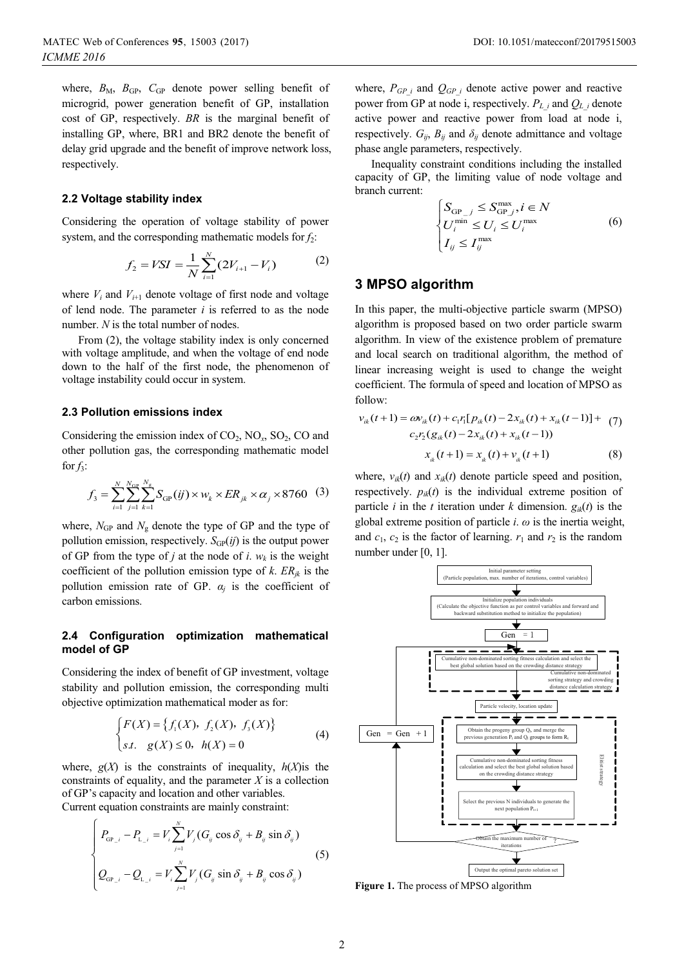where,  $B_M$ ,  $B_{GP}$ ,  $C_{GP}$  denote power selling benefit of microgrid, power generation benefit of GP, installation cost of GP, respectively. *BR* is the marginal benefit of installing GP, where, BR1 and BR2 denote the benefit of delay grid upgrade and the benefit of improve network loss, respectively.

### **2.2 Voltage stability index**

Considering the operation of voltage stability of power system, and the corresponding mathematic models for *f*2:

$$
f_2 = VSI = \frac{1}{N} \sum_{i=1}^{N} (2V_{i+1} - V_i)
$$
 (2)

where  $V_i$  and  $V_{i+1}$  denote voltage of first node and voltage of lend node. The parameter *i* is referred to as the node number. *N* is the total number of nodes.

From (2), the voltage stability index is only concerned with voltage amplitude, and when the voltage of end node down to the half of the first node, the phenomenon of voltage instability could occur in system.

### **2.3 Pollution emissions index**

Considering the emission index of  $CO_2$ ,  $NO_x$ ,  $SO_2$ ,  $CO$  and other pollution gas, the corresponding mathematic model for  $f_3$ :

$$
f_3 = \sum_{i=1}^N \sum_{j=1}^{N_{GP}} \sum_{k=1}^{N_g} S_{GP}(ij) \times w_k \times ER_{jk} \times \alpha_j \times 8760 \quad (3)
$$

where,  $N_{GP}$  and  $N_g$  denote the type of GP and the type of pollution emission, respectively.  $S_{GP}(ij)$  is the output power of GP from the type of *j* at the node of *i*.  $w_k$  is the weight coefficient of the pollution emission type of  $k$ .  $ER_{ik}$  is the pollution emission rate of GP.  $\alpha_i$  is the coefficient of carbon emissions.

### **2.4 Configuration optimization mathematical model of GP**

Considering the index of benefit of GP investment, voltage stability and pollution emission, the corresponding multi objective optimization mathematical moder as for:

$$
\begin{cases} F(X) = \{f_1(X), f_2(X), f_3(X)\} \\ \text{s.t. } g(X) \le 0, h(X) = 0 \end{cases}
$$
 (4)

where,  $g(X)$  is the constraints of inequality,  $h(X)$  is the constraints of equality, and the parameter *X* is a collection of GP's capacity and location and other variables. Current equation constraints are mainly constraint:

$$
\begin{cases}\nP_{_{GP\_i}} - P_{_{L\_i}} = V_i \sum_{j=1}^{N} V_j (G_{ij} \cos \delta_{ij} + B_{ij} \sin \delta_{ij}) \\
Q_{_{GP\_i}} - Q_{_{L\_i}} = V_i \sum_{j=1}^{N} V_j (G_{ij} \sin \delta_{ij} + B_{ij} \cos \delta_{ij})\n\end{cases}
$$
\n(5)

where,  $P_{GP}$  and  $Q_{GP}$  and denote active power and reactive power from GP at node i, respectively.  $P_{L_i}$  and  $Q_{L_i}$  denote active power and reactive power from load at node i, respectively.  $G_{ij}$ ,  $B_{ij}$  and  $\delta_{ij}$  denote admittance and voltage phase angle parameters, respectively.

Inequality constraint conditions including the installed capacity of GP, the limiting value of node voltage and branch current:

$$
\begin{cases}\nS_{\text{GP}_j} \leq S_{\text{GP}_j}^{\text{max}}, i \in N \\
U_i^{\text{min}} \leq U_i \leq U_i^{\text{max}} \\
I_{ij} \leq I_{ij}^{\text{max}}\n\end{cases} \tag{6}
$$

## **3 MPSO algorithm**

In this paper, the multi-objective particle swarm (MPSO) algorithm is proposed based on two order particle swarm algorithm. In view of the existence problem of premature and local search on traditional algorithm, the method of linear increasing weight is used to change the weight coefficient. The formula of speed and location of MPSO as follow:

$$
v_{ik}(t+1) = \omega v_{ik}(t) + c_1 r_1 [p_{ik}(t) - 2x_{ik}(t) + x_{ik}(t-1)] + (7)
$$
  

$$
c_2 r_2 (g_{ik}(t) - 2x_{ik}(t) + x_{ik}(t-1))
$$
  

$$
x_{ik}(t+1) = x_{ik}(t) + v_{ik}(t+1)
$$
 (8)

where,  $v_{ik}(t)$  and  $x_{ik}(t)$  denote particle speed and position, respectively.  $p_{ik}(t)$  is the individual extreme position of particle *i* in the *t* iteration under *k* dimension.  $g_{ik}(t)$  is the global extreme position of particle *i*. *ω* is the inertia weight, and  $c_1$ ,  $c_2$  is the factor of learning.  $r_1$  and  $r_2$  is the random number under [0, 1].



**Figure 1.** The process of MPSO algorithm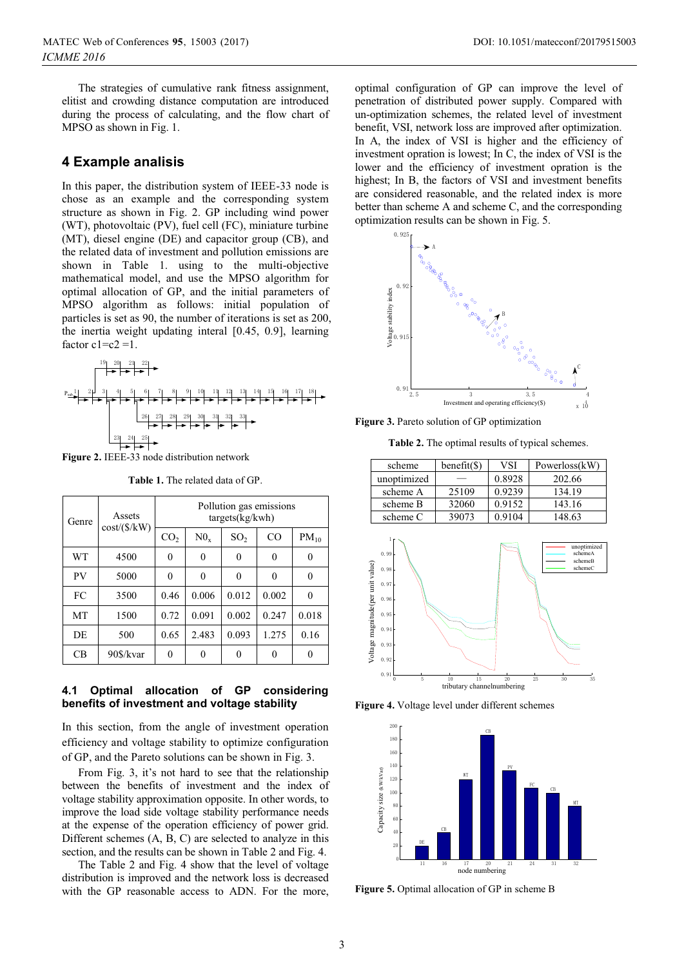The strategies of cumulative rank fitness assignment, elitist and crowding distance computation are introduced during the process of calculating, and the flow chart of MPSO as shown in Fig. 1.

### **4 Example analisis**

In this paper, the distribution system of IEEE-33 node is chose as an example and the corresponding system structure as shown in Fig. 2. GP including wind power (WT), photovoltaic (PV), fuel cell (FC), miniature turbine (MT), diesel engine (DE) and capacitor group (CB), and the related data of investment and pollution emissions are shown in Table 1. using to the multi-objective mathematical model, and use the MPSO algorithm for optimal allocation of GP, and the initial parameters of MPSO algorithm as follows: initial population of particles is set as 90, the number of iterations is set as 200, the inertia weight updating interal [0.45, 0.9], learning factor  $c1=c2=1$ .



**Figure 2.** IEEE-33 node distribution network

**Table 1.** The related data of GP.

| Genre     | Assets       | Pollution gas emissions<br>targets(kg/kwh) |          |                 |       |           |  |  |  |
|-----------|--------------|--------------------------------------------|----------|-----------------|-------|-----------|--|--|--|
|           | cost/(\$/kW) | CO <sub>2</sub>                            | $N0_{r}$ | SO <sub>2</sub> | CO    | $PM_{10}$ |  |  |  |
| <b>WT</b> | 4500         | $\theta$                                   | 0        | 0               | 0     | $\theta$  |  |  |  |
| PV        | 5000         | $\theta$                                   | 0        | 0               | 0     | $\theta$  |  |  |  |
| FC        | 3500         | 0.46                                       | 0.006    | 0.012           | 0.002 | 0         |  |  |  |
| MT        | 1500         | 0.72                                       | 0.091    | 0.002           | 0.247 | 0.018     |  |  |  |
| DE        | 500          | 0.65                                       | 2.483    | 0.093           | 1.275 | 0.16      |  |  |  |
| CВ        | 90\$/kvar    | 0                                          | 0        | 0               | 0     |           |  |  |  |

### **4.1 Optimal allocation of GP considering benefits of investment and voltage stability**

In this section, from the angle of investment operation efficiency and voltage stability to optimize configuration of GP, and the Pareto solutions can be shown in Fig. 3.

From Fig. 3, it's not hard to see that the relationship between the benefits of investment and the index of voltage stability approximation opposite. In other words, to improve the load side voltage stability performance needs at the expense of the operation efficiency of power grid. Different schemes (A, B, C) are selected to analyze in this section, and the results can be shown in Table 2 and Fig. 4.

The Table 2 and Fig. 4 show that the level of voltage distribution is improved and the network loss is decreased with the GP reasonable access to ADN. For the more,

optimal configuration of GP can improve the level of penetration of distributed power supply. Compared with un-optimization schemes, the related level of investment benefit, VSI, network loss are improved after optimization. In A, the index of VSI is higher and the efficiency of investment opration is lowest; In C, the index of VSI is the lower and the efficiency of investment opration is the highest; In B, the factors of VSI and investment benefits are considered reasonable, and the related index is more better than scheme A and scheme C, and the corresponding optimization results can be shown in Fig. 5.



**Figure 3.** Pareto solution of GP optimization

**Table 2.** The optimal results of typical schemes.

| scheme      | benefit(S) | VSI    | Powerloss(kW) |
|-------------|------------|--------|---------------|
| unoptimized |            | 0.8928 | 202.66        |
| scheme A    | 25109      | 0.9239 | 134.19        |
| scheme B    | 32060      | 0.9152 | 143.16        |
| scheme C    | 39073      | 0.9104 | 148.63        |



**Figure 4.** Voltage level under different schemes



**Figure 5.** Optimal allocation of GP in scheme B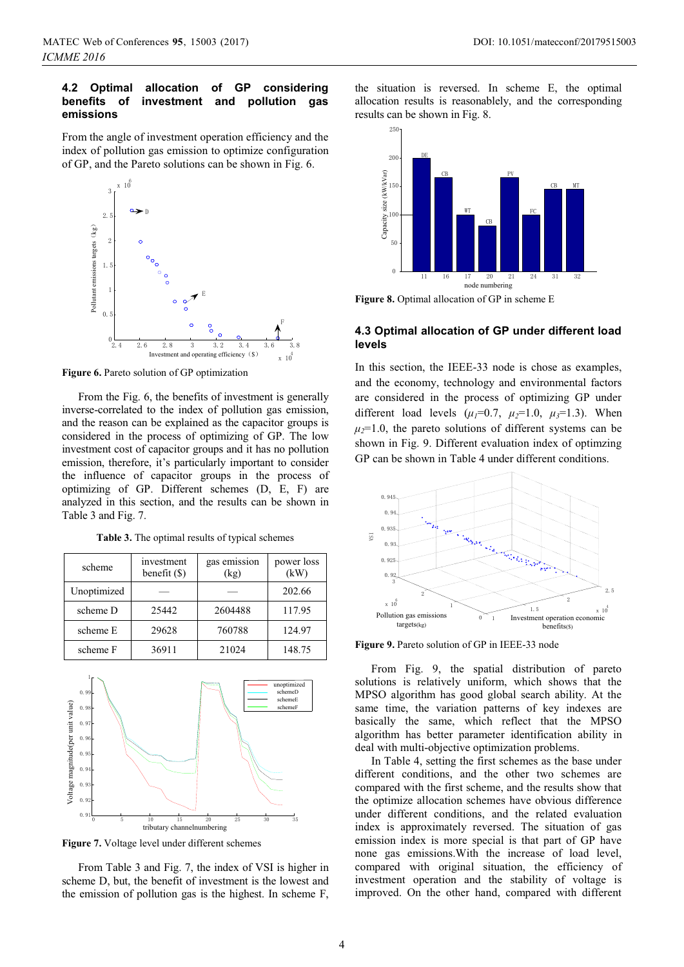### **4.2 Optimal allocation of GP considering b**investment and pollution gas **emissions**

From the angle of investment operation efficiency and the index of pollution gas emission to optimize configuration of GP, and the Pareto solutions can be shown in Fig. 6.



**Figure 6.** Pareto solution of GP optimization

From the Fig. 6, the benefits of investment is generally inverse-correlated to the index of pollution gas emission, and the reason can be explained as the capacitor groups is considered in the process of optimizing of GP. The low investment cost of capacitor groups and it has no pollution emission, therefore, it's particularly important to consider the influence of capacitor groups in the process of optimizing of GP. Different schemes (D, E, F) are analyzed in this section, and the results can be shown in Table 3 and Fig. 7.

| scheme      | investment<br>benefit (\$) | gas emission<br>(kg) | power loss<br>(kW) |  |  |
|-------------|----------------------------|----------------------|--------------------|--|--|
| Unoptimized |                            |                      | 202.66             |  |  |
| scheme D    | 25442                      | 2604488              | 117.95             |  |  |
| scheme E    | 29628                      | 760788               | 124.97             |  |  |
| scheme F    | 36911                      | 21024                | 148.75             |  |  |

**Table 3.** The optimal results of typical schemes



**Figure 7.** Voltage level under different schemes

From Table 3 and Fig. 7, the index of VSI is higher in scheme D, but, the benefit of investment is the lowest and the emission of pollution gas is the highest. In scheme F,

the situation is reversed. In scheme E, the optimal allocation results is reasonablely, and the corresponding results can be shown in Fig. 8.



Figure 8. Optimal allocation of GP in scheme E

### **4.3 Optimal allocation of GP under different load levels**

In this section, the IEEE-33 node is chose as examples, and the economy, technology and environmental factors are considered in the process of optimizing GP under different load levels  $(\mu_1=0.7, \mu_2=1.0, \mu_3=1.3)$ . When  $\mu_2$ =1.0, the pareto solutions of different systems can be shown in Fig. 9. Different evaluation index of optimzing GP can be shown in Table 4 under different conditions.



**Figure 9.** Pareto solution of GP in IEEE-33 node

From Fig. 9, the spatial distribution of pareto solutions is relatively uniform, which shows that the MPSO algorithm has good global search ability. At the same time, the variation patterns of key indexes are basically the same, which reflect that the MPSO algorithm has better parameter identification ability in deal with multi-objective optimization problems.

In Table 4, setting the first schemes as the base under different conditions, and the other two schemes are compared with the first scheme, and the results show that the optimize allocation schemes have obvious difference under different conditions, and the related evaluation index is approximately reversed. The situation of gas emission index is more special is that part of GP have none gas emissions.With the increase of load level, compared with original situation, the efficiency of investment operation and the stability of voltage is improved. On the other hand, compared with different